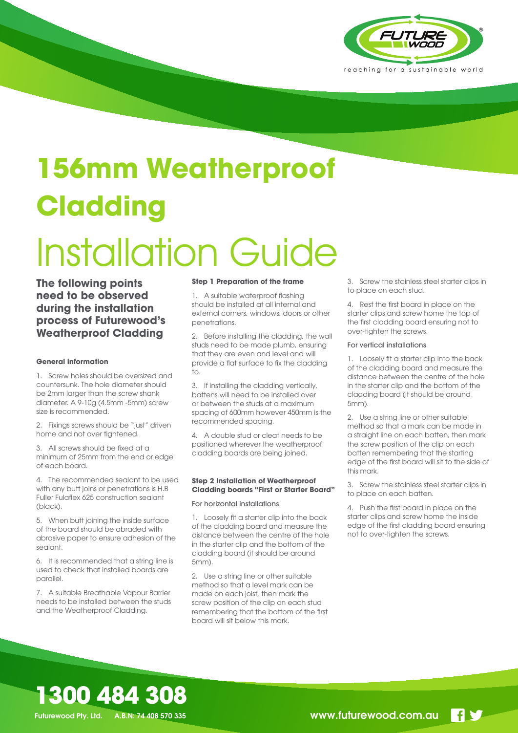

# **156mm Weatherproof Cladding**  Installation Guide

**The following points need to be observed during the installation process of Futurewood's Weatherproof Cladding**

### **General information**

1. Screw holes should be oversized and countersunk. The hole diameter should be 2mm larger than the screw shank diameter. A 9-10g (4.5mm -5mm) screw size is recommended.

2. Fixings screws should be "just" driven home and not over tightened.

3. All screws should be fixed at a minimum of 25mm from the end or edge of each board.

4. The recommended sealant to be used with any butt joins or penetrations is H.B Fuller Fulaflex 625 construction sealant (black).

5. When butt joining the inside surface of the board should be abraded with abrasive paper to ensure adhesion of the sealant.

6. It is recommended that a string line is used to check that installed boards are parallel.

7. A suitable Breathable Vapour Barrier needs to be installed between the studs and the Weatherproof Cladding.

#### **Step 1 Preparation of the frame**

1. A suitable waterproof flashing should be installed at all internal and external corners, windows, doors or other penetrations.

2. Before installing the cladding, the wall studs need to be made plumb, ensuring that they are even and level and will provide a flat surface to fix the cladding to.

3. If installing the cladding vertically, battens will need to be installed over or between the studs at a maximum spacing of 600mm however 450mm is the recommended spacing.

4. A double stud or cleat needs to be positioned wherever the weatherproof cladding boards are being joined.

#### **Step 2 Installation of Weatherproof Cladding boards "First or Starter Board"**

For horizontal installations

1. Loosely fit a starter clip into the back of the cladding board and measure the distance between the centre of the hole in the starter clip and the bottom of the cladding board (it should be around 5mm).

2. Use a string line or other suitable method so that a level mark can be made on each joist, then mark the screw position of the clip on each stud remembering that the bottom of the first board will sit below this mark.

3. Screw the stainless steel starter clips in to place on each stud.

4. Rest the first board in place on the starter clips and screw home the top of the first cladding board ensuring not to over-tighten the screws.

#### For vertical installations

1. Loosely fit a starter clip into the back of the cladding board and measure the distance between the centre of the hole in the starter clip and the bottom of the cladding board (it should be around 5mm).

2. Use a string line or other suitable method so that a mark can be made in a straight line on each batten, then mark the screw position of the clip on each batten remembering that the starting edge of the first board will sit to the side of this mark.

3. Screw the stainless steel starter clips in to place on each batten.

4. Push the first board in place on the starter clips and screw home the inside edge of the first cladding board ensuring not to over-tighten the screws.

**1300 484 308**

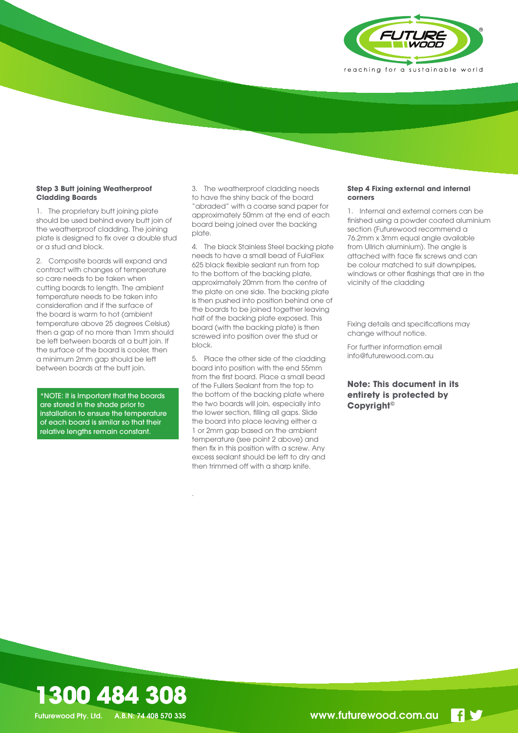

#### **Step 3 Butt joining Weatherproof Cladding Boards**

1. The proprietary butt joining plate should be used behind every butt join of the weatherproof cladding. The joining plate is designed to fix over a double stud or a stud and block.

2. Composite boards will expand and contract with changes of temperature so care needs to be taken when cutting boards to length. The ambient temperature needs to be taken into consideration and if the surface of the board is warm to hot (ambient temperature above 25 degrees Celsius) then a gap of no more than 1mm should be left between boards at a butt join. If the surface of the board is cooler, then a minimum 2mm gap should be left between boards at the butt join.

\*NOTE: It is Important that the boards are stored in the shade prior to installation to ensure the temperature of each board is similar so that their relative lengths remain constant.

3. The weatherproof cladding needs to have the shiny back of the board "abraded" with a coarse sand paper for approximately 50mm at the end of each board being joined over the backing plate.

4. The black Stainless Steel backing plate needs to have a small bead of FulaFlex 625 black flexible sealant run from top to the bottom of the backing plate, approximately 20mm from the centre of the plate on one side. The backing plate is then pushed into position behind one of the boards to be joined together leaving half of the backing plate exposed. This board (with the backing plate) is then screwed into position over the stud or block.

5. Place the other side of the cladding board into position with the end 55mm from the first board. Place a small bead of the Fullers Sealant from the top to the bottom of the backing plate where the two boards will join, especially into the lower section, filling all gaps. Slide the board into place leaving either a 1 or 2mm gap based on the ambient temperature (see point 2 above) and then fix in this position with a screw. Any excess sealant should be left to dry and then trimmed off with a sharp knife.

.

#### **Step 4 Fixing external and internal corners**

1. Internal and external corners can be finished using a powder coated aluminium section (Futurewood recommend a 76.2mm x 3mm equal angle available from Ullrich aluminium). The angle is attached with face fix screws and can be colour matched to suit downpipes, windows or other flashings that are in the vicinity of the cladding

Fixing details and specifications may change without notice.

For further information email info@futurewood.com.au

**Note: This document in its entirety is protected by Copyright©**



**14 Y**